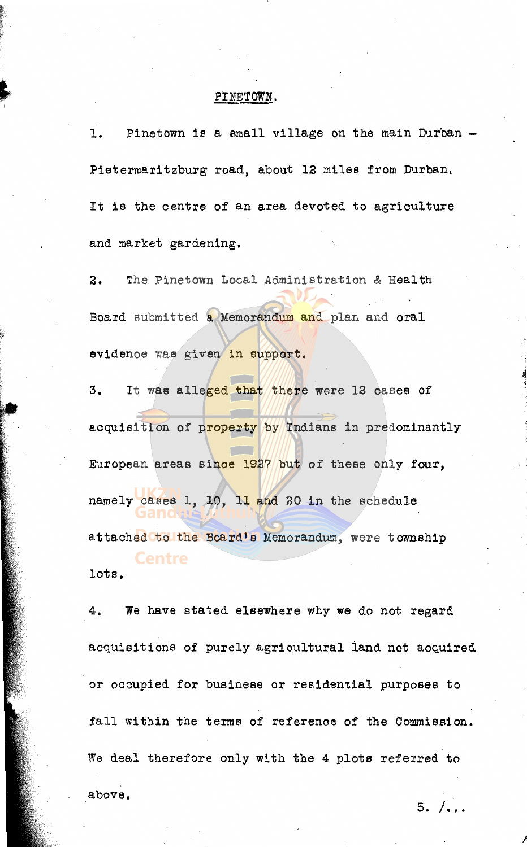## PINETOWN. PINETOWN.

1. Pinetown is a small village on the main Durban Pietermaritzburg road, about 12 miles from Durban. It is the centre of an area devoted to agriculture and market gardening.

3. The Pinetown Local Administration & Health Board submitted a Memorandum and plan and oral evidenoe was given in support.

3. It was alleged that there were 12 cases of acquisition of property by Indians in predominantly European areas since 1927 but of these only four, namely cases 1, 10, 11 and 20 in the schedule attached to the Board's Memorandum, were township **Centre** 

lots.

4. We have stated elsewhere why we do not regard acqUisitions of purely agrioultural land not aoquired or occupied for business or residential purposes to fall within the terms of reference of the Commission. We deal therefore only with the 4 plots referred to above.

 $5. / \ldots$ 

}

.~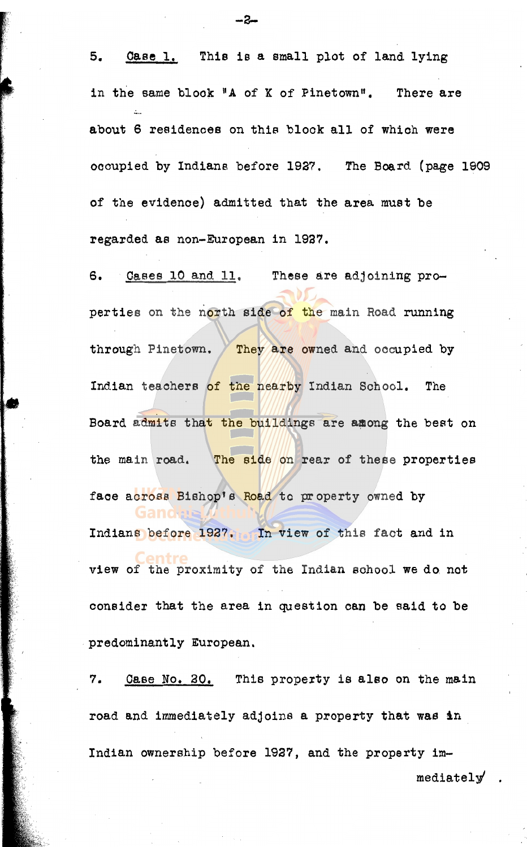5. Case 1. This is a emaIl plot of land lying in the same block "A of K of Pinetown". There are about 6 residenoes on this blook all of whioh were oooupied by Indians before 1927. The Board (page 1909 of the evidenoe) admitted that the area must be regarded as non-European in 1927.

6. Cases 10 and 11. These are adjoining properties on the north side of the main Road running through Pinetown. They are owned and occupied by Indian teaohers of the nearby Indian School. The Board admits that the buildings are among the best on the main road. The side on rear of these properties face across Bishop's Road to property owned by Indians before 1927. In view of this fact and in entre view of the proximity of the Indian sohool we do not consider that the area in question can be said to be predominantly European.

7. Oase *No. 20.* This property is also on the main road and immediately adjoins a property that was in Indian ownership before 1927, and the property im-

mediately' .